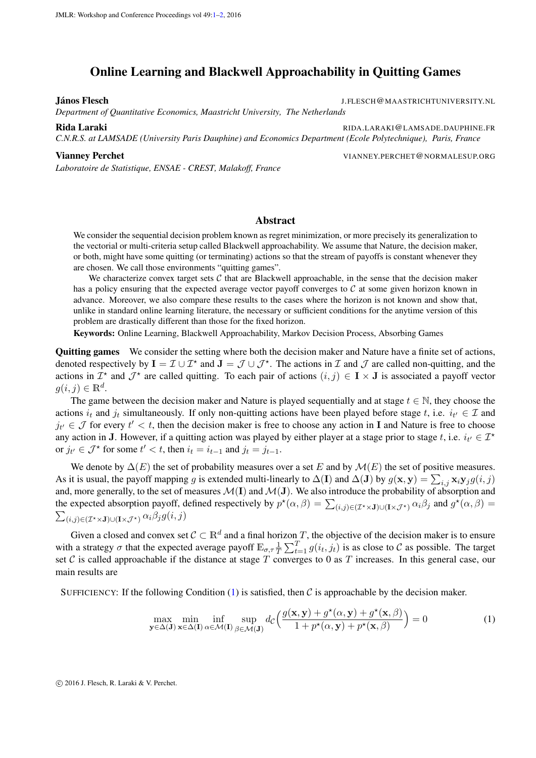## <span id="page-0-0"></span>Online Learning and Blackwell Approachability in Quitting Games

János Flesch J.FLESCH@MAASTRICHTUNIVERSITY.NL

*Department of Quantitative Economics, Maastricht University, The Netherlands*

Rida Laraki Ribardaraki RIDA.LARAKI (@LAMSADE.DAUPHINE.FR *C.N.R.S. at LAMSADE (University Paris Dauphine) and Economics Department (Ecole Polytechnique), Paris, France*

*Laboratoire de Statistique, ENSAE - CREST, Malakoff, France*

Vianney Perchet VIANNEY.PERCHET@NORMALESUP.ORG

## Abstract

We consider the sequential decision problem known as regret minimization, or more precisely its generalization to the vectorial or multi-criteria setup called Blackwell approachability. We assume that Nature, the decision maker, or both, might have some quitting (or terminating) actions so that the stream of payoffs is constant whenever they are chosen. We call those environments "quitting games".

We characterize convex target sets  $C$  that are Blackwell approachable, in the sense that the decision maker has a policy ensuring that the expected average vector payoff converges to  $C$  at some given horizon known in advance. Moreover, we also compare these results to the cases where the horizon is not known and show that, unlike in standard online learning literature, the necessary or sufficient conditions for the anytime version of this problem are drastically different than those for the fixed horizon.

Keywords: Online Learning, Blackwell Approachability, Markov Decision Process, Absorbing Games

Quitting games We consider the setting where both the decision maker and Nature have a finite set of actions, denoted respectively by  $I = \mathcal{I} \cup \mathcal{I}^*$  and  $J = \mathcal{J} \cup \mathcal{J}^*$ . The actions in  $\mathcal{I}$  and  $\mathcal{J}$  are called non-quitting, and the actions in  $\mathcal{I}^*$  and  $\mathcal{J}^*$  are called quitting. To each pair of actions  $(i, j) \in I \times J$  is associated a payoff vector  $g(i, j) \in \mathbb{R}^d$ .

The game between the decision maker and Nature is played sequentially and at stage  $t \in \mathbb{N}$ , they choose the actions  $i_t$  and  $j_t$  simultaneously. If only non-quitting actions have been played before stage t, i.e.  $i_{t'} \in \mathcal{I}$  and  $j_{t'} \in \mathcal{J}$  for every  $t' < t$ , then the decision maker is free to choose any action in I and Nature is free to choose any action in J. However, if a quitting action was played by either player at a stage prior to stage t, i.e.  $i_{t'} \in \mathcal{I}^*$ or  $j_{t'} \in \mathcal{J}^*$  for some  $t' < t$ , then  $i_t = i_{t-1}$  and  $j_t = j_{t-1}$ .

We denote by  $\Delta(E)$  the set of probability measures over a set E and by  $\mathcal{M}(E)$  the set of positive measures. As it is usual, the payoff mapping g is extended multi-linearly to  $\Delta(I)$  and  $\Delta(J)$  by  $g(\mathbf{x}, \mathbf{y}) = \sum_{i,j} \mathbf{x}_i \mathbf{y}_j g(i, j)$ and, more generally, to the set of measures  $M(I)$  and  $M(J)$ . We also introduce the probability of absorption and the expected absorption payoff, defined respectively by  $p^*(\alpha, \beta) = \sum_{(i,j) \in (\mathcal{I}^* \times \mathbf{J}) \cup (\mathbf{I} \times \mathcal{J}^*)} \alpha_i \beta_j$  and  $g^*(\alpha, \beta) =$  $\sum_{(i,j)\in(\mathcal{I}^\star\times\mathbf{J})\cup(\mathbf{I}\times\mathcal{J}^\star)}\alpha_i\beta_jg(i,j)$ 

Given a closed and convex set  $C \subset \mathbb{R}^d$  and a final horizon T, the objective of the decision maker is to ensure with a strategy  $\sigma$  that the expected average payoff  $\mathbb{E}_{\sigma,\tau}\frac{1}{T}$  $\frac{1}{T} \sum_{t=1}^{T} g(i_t, j_t)$  is as close to C as possible. The target set C is called approachable if the distance at stage T converges to 0 as T increases. In this general case, our main results are

SUFFICIENCY: If the following Condition  $(1)$  is satisfied, then C is approachable by the decision maker.

<span id="page-0-1"></span>
$$
\max_{\mathbf{y}\in\Delta(\mathbf{J})}\min_{\mathbf{x}\in\Delta(\mathbf{I})}\inf_{\alpha\in\mathcal{M}(\mathbf{I})}\sup_{\beta\in\mathcal{M}(\mathbf{J})}d_{\mathcal{C}}\Big(\frac{g(\mathbf{x},\mathbf{y})+g^{\star}(\alpha,\mathbf{y})+g^{\star}(\mathbf{x},\beta)}{1+p^{\star}(\alpha,\mathbf{y})+p^{\star}(\mathbf{x},\beta)}\Big)=0
$$
\n(1)

c 2016 J. Flesch, R. Laraki & V. Perchet.